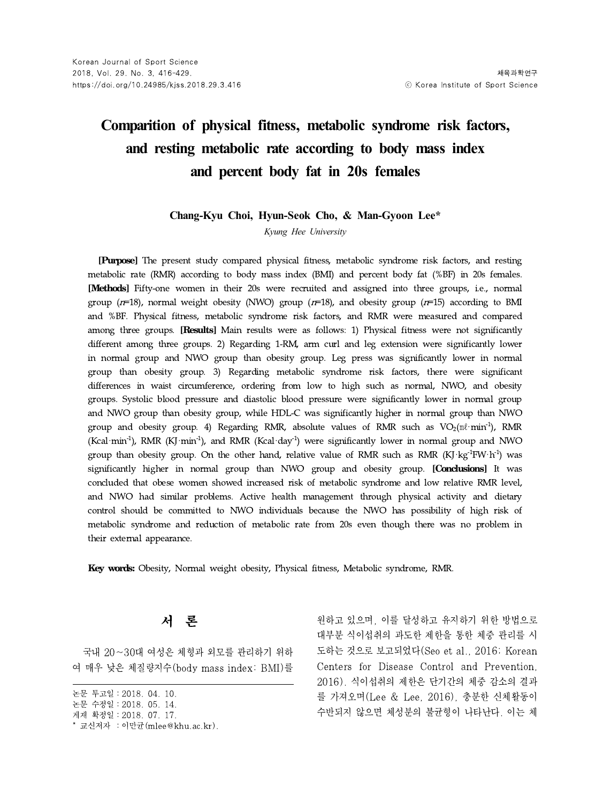# **Comparition of physical fitness, metabolic syndrome risk factors, and resting metabolic rate according to body mass index and percent body fat in 20s females**

#### **Chang-Kyu Choi, Hyun-Seok Cho, & Man-Gyoon Lee\***

*Kyung Hee University*

**[Purpose]** The present study compared physical fitness, metabolic syndrome risk factors, and resting metabolic rate (RMR) according to body mass index (BMI) and percent body fat (%BF) in 20s females. **[Methods]** Fifty-one women in their 20s were recruited and assigned into three groups, i.e., normal group ( $r=18$ ), normal weight obesity (NWO) group ( $r=18$ ), and obesity group ( $r=15$ ) according to BMI and %BF. Physical fitness, metabolic syndrome risk factors, and RMR were measured and compared among three groups. **[Results]** Main results were as follows: 1) Physical fitness were not significantly different among three groups. 2) Regarding 1-RM, arm curl and leg extension were significantly lower in normal group and NWO group than obesity group. Leg press was significantly lower in normal group than obesity group. 3) Regarding metabolic syndrome risk factors, there were significant differences in waist circumference, ordering from low to high such as normal, NWO, and obesity groups. Systolic blood pressure and diastolic blood pressure were significantly lower in normal group and NWO group than obesity group, while HDL-C was significantly higher in normal group than NWO group and obesity group. 4) Regarding RMR, absolute values of RMR such as  $\text{VO}_2(\text{m}\ell\cdot\text{min}^{\text{-1}})$ , RMR (Kcal·min<sup>-1</sup>), RMR (KJ·min<sup>-1</sup>), and RMR (Kcal·day<sup>-1</sup>) were significantly lower in normal group and NWO group than obesity group. On the other hand, relative value of RMR such as RMR  $(KJ·kg^{-1}FW·h^{-1})$  was significantly higher in normal group than NWO group and obesity group. **[Conclusions]** It was concluded that obese women showed increased risk of metabolic syndrome and low relative RMR level, and NWO had similar problems. Active health management through physical activity and dietary control should be committed to NWO individuals because the NWO has possibility of high risk of metabolic syndrome and reduction of metabolic rate from 20s even though there was no problem in their external appearance.

**Key words:** Obesity, Normal weight obesity, Physical fitness, Metabolic syndrome, RMR.

# 서 론

국내 20~30대 여성은 체형과 외모를 관리하기 위하 여 매우 낮은 체질량지수(body mass index: BMI)를

게재 확정일∶2018. 07. 17.

원하고 있으며, 이를 달성하고 유지하기 위한 방법으로 대부분 식이섭취의 과도한 제한을 통한 체중 관리를 시 도하는 것으로 보고되었다(Seo et al., 2016; Korean Centers for Disease Control and Prevention, 2016). 식이섭취의 제한은 단기간의 체중 감소의 결과 를 가져오며(Lee & Lee, 2016), 충분한 신체활동이 수반되지 않으면 체성분의 불균형이 나타난다. 이는 체

논문 투고일∶2018. 04. 10.

논문 수정일∶2018. 05. 14.

<sup>\*</sup> 교신저자 ∶이만균(mlee@khu.ac.kr).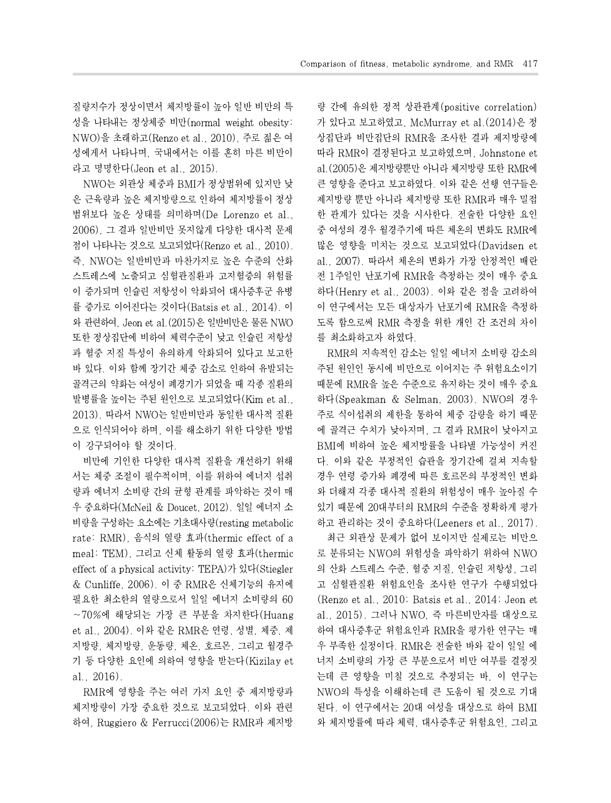질량지수가 정상이면서 체지방률이 높아 일반 비만의 특 성을 나타내는 정상체중 비만(normal weight obesity: NWO)을 초래하고(Renzo et al., 2010), 주로 젊은 여 성에게서 나타나며, 국내에서는 이를 흔히 마른 비만이 라고 명명한다(Jeon et al., 2015).

NWO는 외관상 체중과 BMI가 정상범위에 있지만 낮 은 근육량과 높은 체지방량으로 인하여 체지방률이 정상 범위보다 높은 상태를 의미하며(De Lorenzo et al., 2006), 그 결과 일반비만 못지않게 다양한 대사적 문제 점이 나타나는 것으로 보고되었다(Renzo et al., 2010). 즉, NWO는 일반비만과 마찬가지로 높은 수준의 산화 스트레스에 노출되고 심혈관질환과 고지혈증의 위험률 이 증가되며 인슐린 저항성이 악화되어 대사증후군 유병 률 증가로 이어진다는 것이다(Batsis et al., 2014). 이 와 관련하여, Jeon et al.(2015)은 일반비만은 물론 NWO 또한 정상집단에 비하여 체력수준이 낮고 인슐린 저항성 과 혈중 지질 특성이 유의하게 악화되어 있다고 보고한 바 있다. 이와 함께 장기간 체중 감소로 인하여 유발되는 골격근의 약화는 여성이 폐경기가 되었을 때 각종 질환의 발병률을 높이는 주된 원인으로 보고되었다(Kim et al., 2013). 따라서 NWO는 일반비만과 동일한 대사적 질환 으로 인식되어야 하며, 이를 해소하기 위한 다양한 방법 이 강구되어야 할 것이다.

비만에 기인한 다양한 대사적 질환을 개선하기 위해 서는 체중 조절이 필수적이며, 이를 위하여 에너지 섭취 량과 에너지 소비량 간의 균형 관계를 파악하는 것이 매 우 중요하다(McNeil & Doucet, 2012). 일일 에너지 소 비량을 구성하는 요소에는 기초대사량(resting metabolic rate: RMR), 음식의 열량 효과(thermic effect of a meal: TEM), 그리고 신체 활동의 열량 효과(thermic effect of a physical activity: TEPA)가 있다(Stiegler & Cunliffe, 2006). 이 중 RMR은 신체기능의 유지에 필요한 최소한의 열량으로서 일일 에너지 소비량의 60 ∼70%에 해당되는 가장 큰 부분을 차지한다(Huang et al., 2004). 이와 같은 RMR은 연령, 성별, 체중, 제 지방량, 체지방량, 운동량, 체온, 호르몬, 그리고 월경주 기 등 다양한 요인에 의하여 영향을 받는다(Kizilay et al., 2016).

RMR에 영향을 주는 여러 가지 요인 중 제지방량과 체지방량이 가장 중요한 것으로 보고되었다. 이와 관련 하여, Ruggiero & Ferrucci(2006)는 RMR과 제지방

량 간에 유의한 정적 상관관계(positive correlation) 가 있다고 보고하였고, McMurray et al.(2014)은 정 상집단과 비만집단의 RMR을 조사한 결과 제지방량에 따라 RMR이 결정된다고 보고하였으며, Johnstone et al.(2005)은 제지방량뿐만 아니라 체지방량 또한 RMR에 큰 영향을 준다고 보고하였다. 이와 같은 선행 연구들은 제지방량 뿐만 아니라 체지방량 또한 RMR과 매우 밀접 한 관계가 있다는 것을 시사한다. 전술한 다양한 요인 중 여성의 경우 월경주기에 따른 체온의 변화도 RMR에 많은 영향을 미치는 것으로 보고되었다(Davidsen et al., 2007). 따라서 체온의 변화가 가장 안정적인 배란 전 1주일인 난포기에 RMR을 측정하는 것이 매우 중요 하다(Henry et al., 2003). 이와 같은 점을 고려하여 이 연구에서는 모든 대상자가 난포기에 RMR을 측정하 도록 함으로써 RMR 측정을 위한 개인 간 조건의 차이 를 최소화하고자 하였다.

RMR의 지속적인 감소는 일일 에너지 소비량 감소의 주된 원인인 동시에 비만으로 이어지는 주 위험요소이기 때문에 RMR을 높은 수준으로 유지하는 것이 매우 중요 하다(Speakman & Selman, 2003). NWO의 경우 주로 식이섭취의 제한을 통하여 체중 감량을 하기 때문 에 골격근 수치가 낮아지며, 그 결과 RMR이 낮아지고 BMI에 비하여 높은 체지방률을 나타낼 가능성이 커진 다. 이와 같은 부정적인 습관을 장기간에 걸쳐 지속할 경우 연령 증가와 폐경에 따른 호르몬의 부정적인 변화 와 더해져 각종 대사적 질환의 위험성이 매우 높아질 수 있기 때문에 20대부터의 RMR의 수준을 정확하게 평가 하고 관리하는 것이 중요하다(Leeners et al., 2017).

최근 외관상 문제가 없어 보이지만 실제로는 비만으 로 분류되는 NWO의 위험성을 파악하기 위하여 NWO 의 산화 스트레스 수준, 혈중 지질, 인슐린 저항성, 그리 고 심혈관질환 위험요인을 조사한 연구가 수행되었다 (Renzo et al., 2010; Batsis et al., 2014; Jeon et al., 2015). 그러나 NWO, 즉 마른비만자를 대상으로 하여 대사증후군 위험요인과 RMR을 평가한 연구는 매 우 부족한 실정이다. RMR은 전술한 바와 같이 일일 에 너지 소비량의 가장 큰 부분으로서 비만 여부를 결정짓 는데 큰 영향을 미칠 것으로 추정되는 바, 이 연구는 NWO의 특성을 이해하는데 큰 도움이 될 것으로 기대 된다. 이 연구에서는 20대 여성을 대상으로 하여 BMI 와 체지방률에 따라 체력,대사증후군 위험요인, 그리고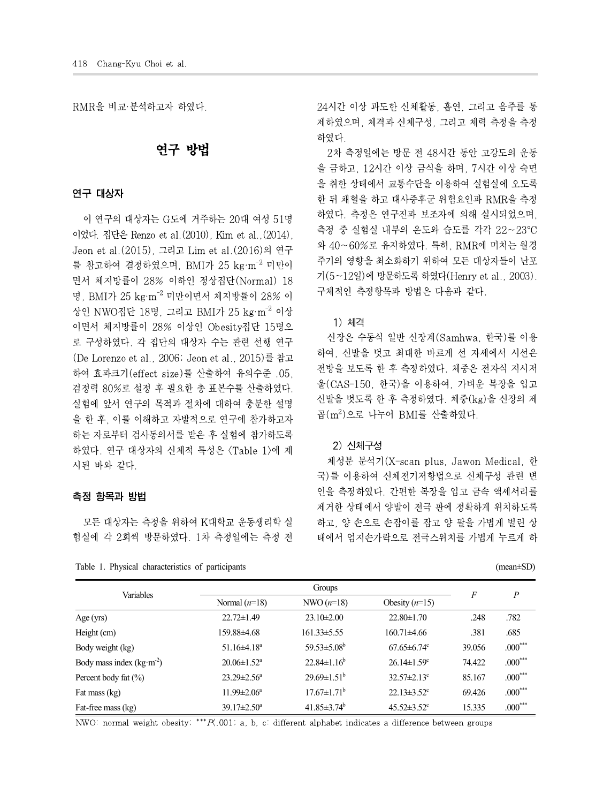RMR을 비교·분석하고자 하였다.

## 연구 방법

#### 연구 대상자

이 연구의 대상자는 G도에 거주하는 20대 여성 51명 이었다. 집단은 Renzo et al.(2010), Kim et al.,(2014), Jeon et al.(2015), 그리고 Lim et al.(2016)의 연구 를 참고하여 결정하였으며, BMI가 25 kg·m-2 미만이 면서 체지방률이 28% 이하인 정상집단(Normal) 18 명, BMI가 25 kg·m<sup>-2</sup> 미만이면서 체지방률이 28% 이 상인 NWO집단 18명, 그리고 BMI가 25 kg·m-2 이상 이면서 체지방률이 28% 이상인 Obesity집단 15명으 로 구성하였다. 각 집단의 대상자 수는 관련 선행 연구 (De Lorenzo et al., 2006; Jeon et al., 2015)를 참고 하여 효과크기(effect size)를 산출하여 유의수준 .05, 검정력 80%로 설정 후 필요한 총 표본수를 산출하였다. 실험에 앞서 연구의 목적과 절차에 대하여 충분한 설명 을 한 후, 이를 이해하고 자발적으로 연구에 참가하고자 하는 자로부터 검사동의서를 받은 후 실험에 참가하도록 하였다. 연구 대상자의 신체적 특성은 <Table1>에 제 시된 바와 같다.

#### 측정 항목과 방법

모든 대상자는 측정을 위하여 K대학교 운동생리학 실 험실에 각 2회씩 방문하였다. 1차 측정일에는 측정 전

| Table 1. Physical characteristics of participants |  | $(mean \pm SD)$ |
|---------------------------------------------------|--|-----------------|
|---------------------------------------------------|--|-----------------|

24시간 이상 과도한 신체활동, 흡연, 그리고 음주를 통 제하였으며, 체격과 신체구성, 그리고 체력 측정을 측정 하였다.

2차 측정일에는 방문 전 48시간 동안 고강도의 운동 을 금하고, 12시간 이상 금식을 하며, 7시간 이상 숙면 을 취한 상태에서 교통수단을 이용하여 실험실에 오도록 한 뒤 채혈을 하고 대사증후군 위험요인과 RMR을 측정 하였다. 측정은 연구진과 보조자에 의해 실시되었으며, 측정 중 실험실 내부의 온도와 습도를 각각 22~23°C 와 40~60%로 유지하였다. 특히, RMR에 미치는 월경 주기의 영향을 최소화하기 위하여 모든 대상자들이 난포 기(5∼12일)에 방문하도록 하였다(Henry et al., 2003). 구체적인 측정항목과 방법은 다음과 같다.

#### 1) 체격

신장은 수동식 일반 신장계(Samhwa, 한국)를 이용 하여, 신발을 벗고 최대한 바르게 선 자세에서 시선은 전방을 보도록 한 후 측정하였다. 체중은 전자식 지시저 울(CAS-150, 한국)을 이용하여, 가벼운 복장을 입고 신발을 벗도록 한 후 측정하였다. 체중(kg)을 신장의 제 곱(m<sup>2</sup>)으로 나누어 BMI를 산출하였다.

#### 2) 신체구성

체성분 분석기(X-scan plus, Jawon Medical, 한 국)를 이용하여 신체전기저항법으로 신체구성 관련 변 인을 측정하였다. 간편한 복장을 입고 금속 액세서리를 제거한 상태에서 양발이 전극 판에 정확하게 위치하도록 하고, 양 손으로 손잡이를 잡고 양 팔을 가볍게 벌린 상 태에서 엄지손가락으로 전극스위치를 가볍게 누르게 하

| Variables                  |                          | Groups                        |                               |        |                  |
|----------------------------|--------------------------|-------------------------------|-------------------------------|--------|------------------|
|                            | Normal $(n=18)$          | NWO $(n=18)$                  | Obesity $(n=15)$              | F      | $\boldsymbol{P}$ |
| Age (yrs)                  | $22.72 \pm 1.49$         | $23.10 \pm 2.00$              | $22.80 \pm 1.70$              | .248   | .782             |
| Height (cm)                | 159.88±4.68              | $161.33 \pm 5.55$             | $160.71 \pm 4.66$             | .381   | .685             |
| Body weight (kg)           | $51.16\pm4.18^a$         | 59.53 $\pm$ 5.08 <sup>b</sup> | $67.65\pm6.74^{\circ}$        | 39.056 | $.000^{***}$     |
| Body mass index $(kg·m-2)$ | $20.06 \pm 1.52^{\circ}$ | $22.84 \pm 1.16^b$            | $26.14 \pm 1.59$ <sup>c</sup> | 74.422 | $.000^{***}$     |
| Percent body fat $(\% )$   | $23.29 \pm 2.56^{\circ}$ | $29.69 \pm 1.51^{\circ}$      | $32.57 \pm 2.13$ <sup>c</sup> | 85.167 | $.000^{***}$     |
| Fat mass (kg)              | $11.99 \pm 2.06^a$       | $17.67 \pm 1.71^b$            | $22.13 \pm 3.52$ <sup>c</sup> | 69.426 | $.000***$        |
| Fat-free mass (kg)         | $39.17 \pm 2.50^{\circ}$ | $41.85 \pm 3.74^{\circ}$      | $45.52 \pm 3.52$ <sup>c</sup> | 15.335 | $.000***$        |

NWO: normal weight obesity; \*\*\**P*(.001; a, b, c: different alphabet indicates a difference between groups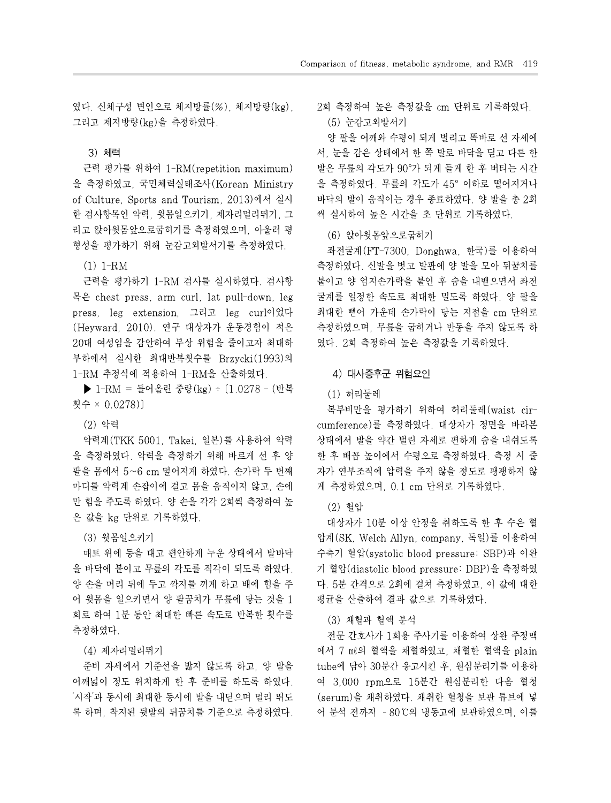였다. 신체구성 변인으로 체지방률(%), 체지방량(kg), 그리고 제지방량(kg)을 측정하였다.

#### 3) 체력

근력 평가를 위하여 1-RM(repetition maximum) 을 측정하였고, 국민체력실태조사(Korean Ministry of Culture, Sports and Tourism, 2013)에서 실시 한 검사항목인 악력, 윗몸일으키기, 제자리멀리뛰기, 그 리고 앉아윗몸앞으로굽히기를 측정하였으며, 아울러 평 형성을 평가하기 위해 눈감고외발서기를 측정하였다.

#### (1) 1-RM

근력을 평가하기 1-RM 검사를 실시하였다. 검사항 목은 chest press, arm curl, lat pull-down, leg press, leg extension, 그리고 leg curl이었다 (Heyward, 2010). 연구 대상자가 운동경험이 적은 20대 여성임을 감안하여 부상 위험을 줄이고자 최대하 부하에서 실시한 최대반복횟수를 Brzycki(1993)의 1-RM 추정식에 적용하여 1-RM을 산출하였다.

▶ 1-RM = 들어올린 중량(kg) ÷ [1.0278 - (반복 횟수 × 0.0278)]

#### (2) 악력

악력계(TKK 5001, Takei, 일본)를 사용하여 악력 을 측정하였다. 악력을 측정하기 위해 바르게 선 후 양 팔을 몸에서 5∼6 cm 떨어지게 하였다. 손가락 두 번째 마디를 악력계 손잡이에 걸고 몸을 움직이지 않고, 손에 만 힘을 주도록 하였다. 양 손을 각각 2회씩 측정하여 높 은 값을 kg 단위로 기록하였다.

#### (3) 윗몸일으키기

매트 위에 등을 대고 편안하게 누운 상태에서 발바닥 을 바닥에 붙이고 무릎의 각도를 직각이 되도록 하였다. 양 손을 머리 뒤에 두고 깍지를 끼게 하고 배에 힘을 주 어 윗몸을 일으키면서 양 팔꿈치가 무릎에 닿는 것을 1 회로 하여 1분 동안 최대한 빠른 속도로 반복한 횟수를 측정하였다.

#### (4) 제자리멀리뛰기

준비 자세에서 기준선을 밟지 않도록 하고, 양 발을 어깨넓이 정도 위치하게 한 후 준비를 하도록 하였다. '시작'과 동시에 최대한 동시에 발을 내딛으며 멀리 뛰도 록 하며, 착지된 뒷발의 뒤꿈치를 기준으로 측정하였다.

2회 측정하여 높은 측정값을 cm 단위로 기록하였다. (5) 눈감고외발서기

양 팔을 어깨와 수평이 되게 벌리고 똑바로 선 자세에 서, 눈을 감은 상태에서 한 쪽 발로 바닥을 딛고 다른 한 발은 무릎의 각도가 90°가 되게 들게 한 후 버티는 시간 을 측정하였다. 무릎의 각도가 45° 이하로 떨어지거나 바닥의 발이 움직이는 경우 종료하였다. 양 발을 총 2회 씩 실시하여 높은 시간을 초 단위로 기록하였다.

(6) 앉아윗몸앞으로굽히기

좌전굴계(FT-7300, Donghwa, 한국)를 이용하여 측정하였다. 신발을 벗고 발판에 양 발을 모아 뒤꿈치를 붙이고 양 엄지손가락을 붙인 후 숨을 내뱉으면서 좌전 굴계를 일정한 속도로 최대한 밀도록 하였다. 양 팔을 최대한 뻗어 가운데 손가락이 닿는 지점을 cm 단위로 측정하였으며, 무릎을 굽히거나 반동을 주지 않도록 하 였다. 2회 측정하여 높은 측정값을 기록하였다.

#### 4) 대사증후군 위험요인

(1) 허리둘레

복부비만을 평가하기 위하여 허리둘레(waist circumference)를 측정하였다. 대상자가 정면을 바라본 상태에서 발을 약간 벌린 자세로 편하게 숨을 내쉬도록 한 후 배꼽 높이에서 수평으로 측정하였다. 측정 시 줄 자가 연부조직에 압력을 주지 않을 정도로 팽팽하지 않 게 측정하였으며, 0.1 cm 단위로 기록하였다.

#### (2) 혈압

대상자가 10분 이상 안정을 취하도록 한 후 수은 혈 압계(SK, Welch Allyn, company, 독일)를 이용하여 수축기 혈압(systolic blood pressure: SBP)과 이완 기 혈압(diastolic blood pressure: DBP)을 측정하였 다. 5분 간격으로 2회에 걸쳐 측정하였고, 이 값에 대한 평균을 산출하여 결과 값으로 기록하였다.

(3) 채혈과 혈액 분석

전문 간호사가 1회용 주사기를 이용하여 상완 주정맥 에서 7 ㎖의 혈액을 채혈하였고, 채혈한 혈액을 plain tube에 담아 30분간 응고시킨 후, 원심분리기를 이용하 여 3,000 rpm으로 15분간 원심분리한 다음 혈청 (serum)을 채취하였다. 채취한 혈청을 보관 튜브에 넣 어 분석 전까지 –80℃의 냉동고에 보관하였으며, 이를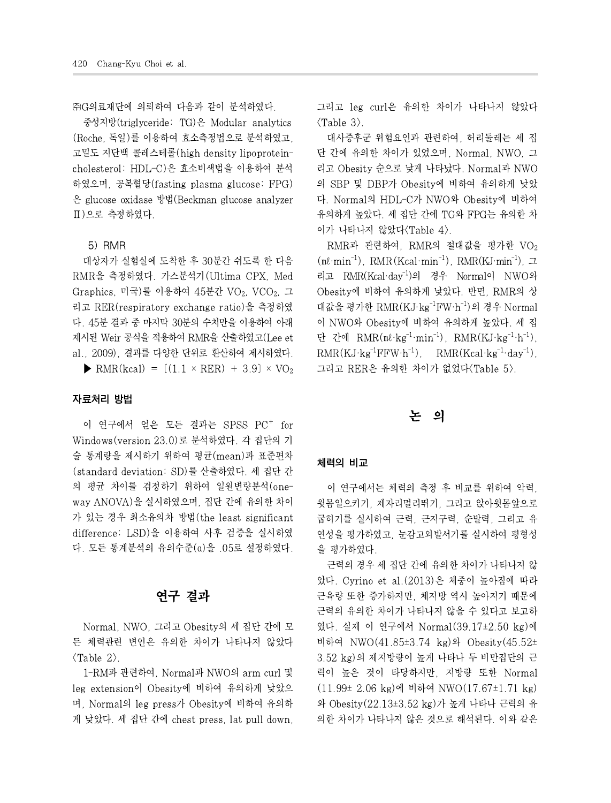㈜G의료재단에 의뢰하여 다음과 같이 분석하였다.

중성지방(triglyceride: TG)은 Modular analytics (Roche, 독일)를 이용하여 효소측정법으로 분석하였고, 고밀도 지단백 콜레스테롤(high density lipoproteincholesterol: HDL-C)은 효소비색법을 이용하여 분석 하였으며, 공복혈당(fasting plasma glucose: FPG) 은 glucose oxidase 방법(Beckman glucose analyzer Ⅱ)으로 측정하였다.

#### 5) RMR

대상자가 실험실에 도착한 후 30분간 쉬도록 한 다음 RMR을 측정하였다. 가스분석기(Ultima CPX, Med Graphics, 미국)를 이용하여 45분간 VO<sub>2</sub>, VCO<sub>2</sub>, 그 리고 RER(respiratory exchange ratio)을 측정하였 다. 45분 결과 중 마지막 30분의 수치만을 이용하여 아래 제시된 Weir 공식을 적용하여 RMR을 산출하였고(Lee et al., 2009), 결과를 다양한 단위로 환산하여 제시하였다.

 $\blacktriangleright$  RMR(kcal) =  $[(1.1 \times RER) + 3.9] \times VO<sub>2</sub>$ 

#### 자료처리 방법

이 연구에서 얻은 모든 결과는 SPSS PC<sup>+</sup> for Windows(version 23.0)로 분석하였다. 각 집단의 기 술 통계량을 제시하기 위하여 평균(mean)과 표준편차 (standard deviation: SD)를 산출하였다. 세 집단 간 의 평균 차이를 검정하기 위하여 일원변량분석(oneway ANOVA)을 실시하였으며, 집단 간에 유의한 차이 가 있는 경우 최소유의차 방법(the least significant difference: LSD)을 이용하여 사후 검증을 실시하였 다. 모든 통계분석의 유의수준(α)을 .05로 설정하였다.

### 연구 결과

Normal, NWO, 그리고 Obesity의 세 집단 간에 모 든 체력관련 변인은 유의한 차이가 나타나지 않았다  $\langle$ Table 2 $\rangle$ .

1-RM과 관련하여, Normal과 NWO의 arm curl 및 leg extension이 Obesity에 비하여 유의하게 낮았으 며, Normal의 leg press가 Obesity에 비하여 유의하 게 낮았다. 세 집단 간에 chest press, lat pull down,

그리고 leg curl은 유의한 차이가 나타나지 않았다  $\langle$ Table 3 $\rangle$ .

대사증후군 위험요인과 관련하여, 허리둘레는 세 집 단 간에 유의한 차이가 있었으며, Normal, NWO, 그 리고 Obesity 순으로 낮게 나타났다. Normal과 NWO 의 SBP 및 DBP가 Obesity에 비하여 유의하게 낮았 다. Normal의 HDL-C가 NWO와 Obesity에 비하여 유의하게 높았다. 세 집단 간에 TG와 FPG는 유의한 차 이가 나타나지 않았다<Table 4>.

RMR과 관련하여, RMR의 절대값을 평가한 VO<sup>2</sup>  $(\mathbb{m}\ell \cdot \text{min}^{-1})$ , RMR(Kcal·min<sup>-1</sup>), RMR(KJ·min<sup>-1</sup>),  $\Box$ 리고 RMR(Kcal·day -1)의 경우 Normal이 NWO와 Obesity에 비하여 유의하게 낮았다. 반면, RMR의 상 대값을 평가한 RMR(KJ·kg -1FW·h -1)의 경우 Normal 이 NWO와 Obesity에 비하여 유의하게 높았다. 세 집 단 간에 RMR(ml·kg<sup>-1</sup>·min<sup>-1</sup>), RMR(KJ·kg<sup>-1</sup>·h<sup>-1</sup>),  $RMR(KJ \cdot kg^{-1} FFW \cdot h^{-1})$ ,  $RMR(Kcal \cdot kg^{-1} \cdot day^{-1})$ , 그리고 RER은 유의한 차이가 없었다<Table 5>.

### 논 의

#### 체력의 비교

이 연구에서는 체력의 측정 후 비교를 위하여 악력, 윗몸일으키기, 제자리멀리뛰기, 그리고 앉아윗몸앞으로 굽히기를 실시하여 근력, 근지구력, 순발력, 그리고 유 연성을 평가하였고, 눈감고외발서기를 실시하여 평형성 을 평가하였다.

근력의 경우 세 집단 간에 유의한 차이가 나타나지 않 았다. Cyrino et al.(2013)은 체중이 높아짐에 따라 근육량 또한 증가하지만, 체지방 역시 높아지기 때문에 근력의 유의한 차이가 나타나지 않을 수 있다고 보고하 였다. 실제 이 연구에서 Normal(39.17±2.50 kg)에 비하여 NWO(41.85±3.74 kg)와 Obesity(45.52± 3.52 kg)의 제지방량이 높게 나타나 두 비만집단의 근 력이 높은 것이 타당하지만, 지방량 또한 Normal (11.99± 2.06 kg)에 비하여 NWO(17.67±1.71 kg) 와 Obesity(22.13±3.52 kg)가 높게 나타나 근력의 유 의한 차이가 나타나지 않은 것으로 해석된다. 이와 같은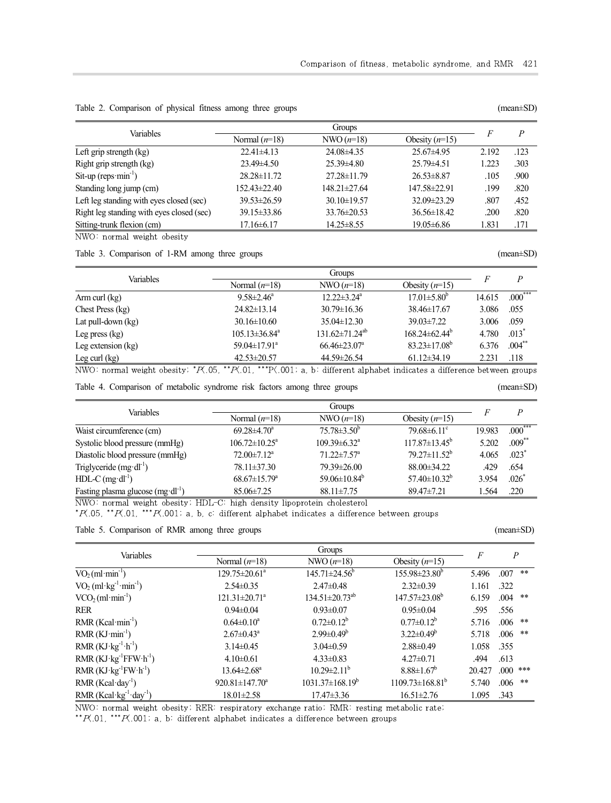|  | Table 2. Comparison of physical fitness among three groups | (mean $\pm$ SD) |
|--|------------------------------------------------------------|-----------------|
|  |                                                            |                 |

| Variables                                 | Groups                          |                    |                   |       | P    |
|-------------------------------------------|---------------------------------|--------------------|-------------------|-------|------|
|                                           | NWO $(n=18)$<br>Normal $(n=18)$ |                    | Obesity $(n=15)$  |       |      |
| Left grip strength $(kg)$                 | $22.41 \pm 4.13$                | 24.08 ± 4.35       | $25.67 \pm 4.95$  | 2.192 | .123 |
| Right grip strength (kg)                  | $23.49\pm4.50$                  | $25.39\pm4.80$     | $25.79\pm4.51$    | 1.223 | .303 |
| $\text{Sit-up (reps·min}^{-1})$           | $28.28 \pm 11.72$               | $27.28 \pm 11.79$  | $26.53\pm8.87$    | .105  | .900 |
| Standing long jump (cm)                   | 152.43±22.40                    | $148.21 \pm 27.64$ | 147.58±22.91      | .199  | .820 |
| Left leg standing with eyes closed (sec)  | 39.53±26.59                     | $30.10 \pm 19.57$  | $32.09 \pm 23.29$ | .807  | .452 |
| Right leg standing with eyes closed (sec) | 39.15 ± 33.86                   | $33.76 \pm 20.53$  | $36.56 \pm 18.42$ | .200  | .820 |
| Sitting-trunk flexion (cm)                | $17.16 \pm 6.17$                | $14.25 \pm 8.55$   | $19.05 \pm 6.86$  | 1.831 | .171 |

NWO: normal weight obesity

Table 3. Comparison of 1-RM among three groups (mean±SD) (mean±SD)

| Variables            | Groups                         |                               |                          |        | P                   |
|----------------------|--------------------------------|-------------------------------|--------------------------|--------|---------------------|
|                      | Normal $(n=18)$                | NWO $(n=18)$                  | Obesity $(n=15)$         |        |                     |
| Arm curl $(kg)$      | $9.58 \pm 2.46^a$              | $12.22 \pm 3.24$ <sup>a</sup> | $17.01 \pm 5.80^{\circ}$ | 14.615 | $.000***$           |
| Chest Press (kg)     | $24.82 \pm 13.14$              | $30.79 \pm 16.36$             | 38.46±17.67              | 3.086  | .055                |
| Lat pull-down $(kg)$ | $30.16 \pm 10.60$              | $35.04 \pm 12.30$             | $39.03 \pm 7.22$         | 3.006  | .059                |
| Leg press $(kg)$     | $105.13 \pm 36.84^a$           | $131.62 \pm 71.24^{ab}$       | $168.24\pm62.44^{\circ}$ | 4.780  | $.013$ <sup>*</sup> |
| Leg extension $(kg)$ | 59.04 $\pm$ 17.91 <sup>a</sup> | $66.46 \pm 23.07^{\text{a}}$  | $83.23 \pm 17.08^b$      | 6.376  | $.004***$           |
| $Leg \, curl (kg)$   | $42.53 \pm 20.57$              | 44.59±26.54                   | $61.12\pm34.19$          | 2.231  | .118                |

NWO: normal weight obesity;  $^*R.05$ ,  $^{**}R.01$ ,  $^{***}P\langle .001; a, b$ : different alphabet indicates a difference between groups

Table 4. Comparison of metabolic syndrome risk factors among three groups (mean±SD) (mean±SD)

| Variables                                   | Groups                    |                                |                            |        | P                   |
|---------------------------------------------|---------------------------|--------------------------------|----------------------------|--------|---------------------|
|                                             | Normal $(n=18)$           | NWO $(n=18)$                   | Obesity $(n=15)$           |        |                     |
| Waist circumference (cm)                    | $69.28 \pm 4.70^a$        | $75.78 \pm 3.50^{\circ}$       | $79.68 \pm 6.11$ °         | 19.983 | $.000***$           |
| Systolic blood pressure (mmHg)              | $106.72 \pm 10.25^a$      | $109.39 \pm 6.32$ <sup>a</sup> | $117.87 \pm 13.45^{\circ}$ | 5.202  | $.009***$           |
| Diastolic blood pressure (mmHg)             | $72.00 \pm 7.12^a$        | $71.22 \pm 7.57$ <sup>a</sup>  | $79.27 \pm 11.52^b$        | 4.065  | $.023$ <sup>*</sup> |
| Triglyceride $(mg \cdot dl^{-1})$           | 78.11±37.30               | 79.39±26.00                    | 88.00±34.22                | .429   | .654                |
| $HDL-C$ (mg·dl <sup>-1</sup> )              | $68.67 \pm 15.79^{\circ}$ | 59.06 $\pm$ 10.84 <sup>b</sup> | $57.40 \pm 10.32^b$        | 3.954  | $.026*$             |
| Fasting plasma glucose $(mg \cdot dl^{-1})$ | $85.06 \pm 7.25$          | $88.11 \pm 7.75$               | $89.47 \pm 7.21$           | 1.564  | .220                |

NWO: normal weight obesity; HDL-C: high density lipoprotein cholesterol

 $*P(0.05, **P(0.01, **P(0.01; a, b, c: different alphabet indicates a difference between groups))$ 

Table 5. Comparison of RMR among three groups (mean±SD) (mean±SD)

| Variables                                       |                                 | Groups                     |                              |        | P                  |
|-------------------------------------------------|---------------------------------|----------------------------|------------------------------|--------|--------------------|
|                                                 | Normal $(n=18)$                 | NWO $(n=18)$               | Obesity $(n=15)$             | F      |                    |
| $VO2(ml·min-1)$                                 | $129.75 \pm 20.61^a$            | $145.71 \pm 24.56^{\circ}$ | $155.98 \pm 23.80^b$         | 5.496  | $\ast\ast$<br>.007 |
| $VO2 (ml·kg-1·min-1)$                           | $2.54\pm0.35$                   | $2.47 \pm 0.48$            | $2.32\pm0.39$                | 1.161  | .322               |
| $VCO2(ml·min-1)$                                | $121.31 \pm 20.71$ <sup>a</sup> | $134.51 \pm 20.73^{ab}$    | $147.57 \pm 23.08^{\circ}$   | 6.159  | .004<br>**         |
| <b>RER</b>                                      | $0.94 \pm 0.04$                 | $0.93 \pm 0.07$            | $0.95 \pm 0.04$              | .595   | .556               |
| $RMR (Kcal·min-1)$                              | $0.64 \pm 0.10^a$               | $0.72 \pm 0.12^b$          | $0.77 \pm 0.12^b$            | 5.716  | **<br>.006         |
| $RMR(KJ·min^{-1})$                              | $2.67 \pm 0.43^{\circ}$         | $2.99 \pm 0.49^b$          | $3.22 \pm 0.49^b$            | 5.718  | .006<br>**         |
| $RMR(KJ \cdot kg^{-1} \cdot h^{-1})$            | $3.14\pm0.45$                   | $3.04\pm0.59$              | $2.88 \pm 0.49$              | 1.058  | .355               |
| $RMR (KJ \cdot kg^{-1}FFW \cdot h^{-1})$        | $4.10\pm0.61$                   | $4.33 \pm 0.83$            | $4.27 \pm 0.71$              | .494   | .613               |
| $RMR (KJ \cdot kg^{-1}FW \cdot h^{-1})$         | $13.64 \pm 2.68^{\text{a}}$     | $10.29 \pm 2.11^{\circ}$   | $8.88 \pm 1.67$ <sup>b</sup> | 20.427 | $.000$ ***         |
| $RMR (Kcal·day-1)$                              | $920.81 \pm 147.70^a$           | $1031.37 \pm 168.19^b$     | $1109.73 \pm 168.81^b$       | 5.740  | **<br>.006         |
| RMR (Kcal·kg <sup>-1</sup> ·day <sup>-1</sup> ) | $18.01 \pm 2.58$                | $17.47 \pm 3.36$           | $16.51 \pm 2.76$             | 1.095  | .343               |

NWO: normal weight obesity; RER: respiratory exchange ratio; RMR: resting metabolic rate;

\*\* $P(-0.01, \cdot$ \*\*\* $P(-0.01; a, b:$  different alphabet indicates a difference between groups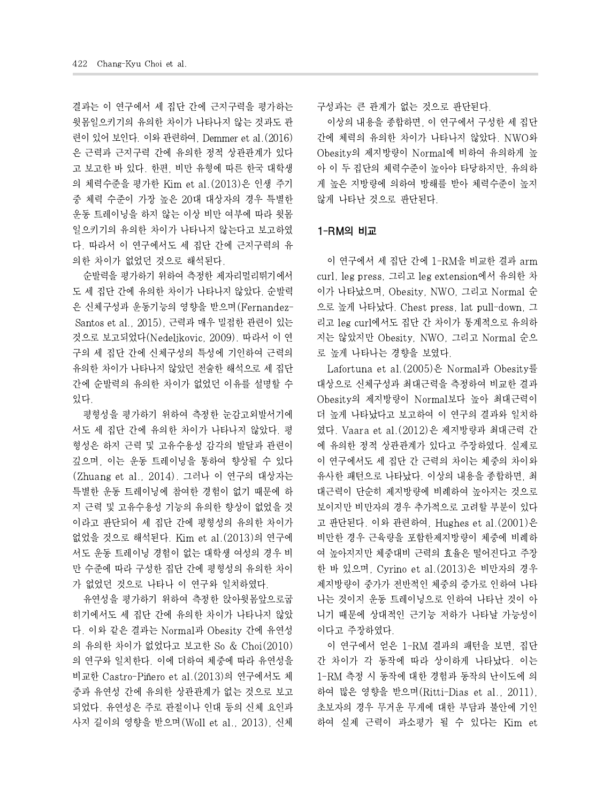결과는 이 연구에서 세 집단 간에 근지구력을 평가하는 윗몸일으키기의 유의한 차이가 나타나지 않는 것과도 관 련이 있어 보인다. 이와 관련하여, Demmer et al.(2016) 은 근력과 근지구력 간에 유의한 정적 상관관계가 있다 고 보고한 바 있다. 한편, 비만 유형에 따른 한국 대학생 의 체력수준을 평가한 Kim et al.(2013)은 인생 주기 중 체력 수준이 가장 높은 20대 대상자의 경우 특별한 운동 트레이닝을 하지 않는 이상 비만 여부에 따라 윗몸 일으키기의 유의한 차이가 나타나지 않는다고 보고하였 다. 따라서 이 연구에서도 세 집단 간에 근지구력의 유 의한 차이가 없었던 것으로 해석된다.

순발력을 평가하기 위하여 측정한 제자리멀리뛰기에서 도 세 집단 간에 유의한 차이가 나타나지 않았다. 순발력 은 신체구성과 운동기능의 영향을 받으며(Fernandez-Santos et al., 2015), 근력과 매우 밀접한 관련이 있는 것으로 보고되었다(Nedeljkovic, 2009). 따라서 이 연 구의 세 집단 간에 신체구성의 특성에 기인하여 근력의 유의한 차이가 나타나지 않았던 전술한 해석으로 세 집단 간에 순발력의 유의한 차이가 없었던 이유를 설명할 수 있다.

평형성을 평가하기 위하여 측정한 눈감고외발서기에 서도 세 집단 간에 유의한 차이가 나타나지 않았다. 평 형성은 하지 근력 및 고유수용성 감각의 발달과 관련이 깊으며, 이는 운동 트레이닝을 통하여 향상될 수 있다 (Zhuang et al., 2014). 그러나 이 연구의 대상자는 특별한 운동 트레이닝에 참여한 경험이 없기 때문에 하 지 근력 및 고유수용성 기능의 유의한 향상이 없었을 것 이라고 판단되어 세 집단 간에 평형성의 유의한 차이가 없었을 것으로 해석된다. Kim et al.(2013)의 연구에 서도 운동 트레이닝 경험이 없는 대학생 여성의 경우 비 만 수준에 따라 구성한 집단 간에 평형성의 유의한 차이 가 없었던 것으로 나타나 이 연구와 일치하였다.

유연성을 평가하기 위하여 측정한 앉아윗몸앞으로굽 히기에서도 세 집단 간에 유의한 차이가 나타나지 않았 다. 이와 같은 결과는 Normal과 Obesity 간에 유연성 의 유의한 차이가 없었다고 보고한 So & Choi(2010) 의 연구와 일치한다. 이에 더하여 체중에 따라 유연성을 비교한 Castro-Piñero et al.(2013)의 연구에서도 체 중과 유연성 간에 유의한 상관관계가 없는 것으로 보고 되었다. 유연성은 주로 관절이나 인대 등의 신체 요인과 사지 길이의 영향을 받으며(Woll et al., 2013), 신체

구성과는 큰 관계가 없는 것으로 판단된다.

이상의 내용을 종합하면, 이 연구에서 구성한 세 집단 간에 체력의 유의한 차이가 나타나지 않았다. NWO와 Obesity의 제지방량이 Normal에 비하여 유의하게 높 아 이 두 집단의 체력수준이 높아야 타당하지만, 유의하 게 높은 지방량에 의하여 방해를 받아 체력수준이 높지 않게 나타난 것으로 판단된다.

#### 1-RM의 비교

이 연구에서 세 집단 간에 1-RM을 비교한 결과 arm curl, leg press, 그리고 leg extension에서 유의한 차 이가 나타났으며, Obesity, NWO, 그리고 Normal 순 으로 높게 나타났다. Chest press, lat pull-down, 그 리고 leg curl에서도 집단 간 차이가 통계적으로 유의하 지는 않았지만 Obesity, NWO, 그리고 Normal 순으 로 높게 나타나는 경향을 보였다.

Lafortuna et al.(2005)은 Normal과 Obesity를 대상으로 신체구성과 최대근력을 측정하여 비교한 결과 Obesity의 제지방량이 Normal보다 높아 최대근력이 더 높게 나타났다고 보고하여 이 연구의 결과와 일치하 였다. Vaara et al. (2012)은 제지방량과 최대근력 간 에 유의한 정적 상관관계가 있다고 주장하였다. 실제로 이 연구에서도 세 집단 간 근력의 차이는 체중의 차이와 유사한 패턴으로 나타났다. 이상의 내용을 종합하면, 최 대근력이 단순히 제지방량에 비례하여 높아지는 것으로 보이지만 비만자의 경우 추가적으로 고려할 부분이 있다 고 판단된다. 이와 관련하여, Hughes et al.(2001)은 비만한 경우 근육량을 포함한제지방량이 체중에 비례하 여 높아지지만 체중대비 근력의 효율은 떨어진다고 주장 한 바 있으며, Cyrino et al.(2013)은 비만자의 경우 제지방량이 중가가 전반적인 체중의 증가로 인하여 나타 나는 것이지 운동 트레이닝으로 인하여 나타난 것이 아 니기 때문에 상대적인 근기능 저하가 나타날 가능성이 이다고 주장하였다.

이 연구에서 얻은 1-RM 결과의 패턴을 보면, 집단 간 차이가 각 동작에 따라 상이하게 나타났다. 이는 1-RM 측정 시 동작에 대한 경험과 동작의 난이도에 의 하여 많은 영향을 받으며(Ritti-Dias et al., 2011), 초보자의 경우 무거운 무게에 대한 부담과 불안에 기인 하여 실제 근력이 과소평가 될 수 있다는 Kim et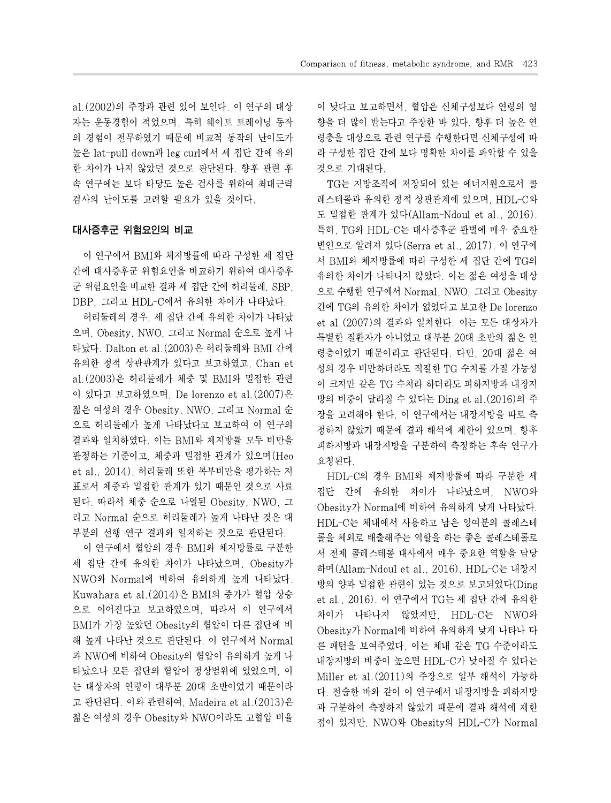al.(2002)의 주장과 관련 있어 보인다. 이 연구의 대상 자는 운동경험이 적었으며, 특히 웨이트 트레이닝 동작 의 경험이 전무하였기 때문에 비교적 동작의 난이도가 높은 lat-pull down과 leg curl에서 세 집단 간에 유의 한 차이가 나지 않았던 것으로 판단된다. 향후 관련 후 속 연구에는 보다 타당도 높은 검사를 위하여 최대근력 검사의 난이도를 고려할 필요가 있을 것이다.

#### 대사증후군 위험요인의 비교

이 연구에서 BMI와 체지방률에 따라 구성한 세 집단 간에 대사증후군 위험요인을 비교하기 위하여 대사증후 군 위험요인을 비교한 결과 세 집단 간에 허리둘레, SBP, DBP, 그리고 HDL-C에서 유의한 차이가 나타났다.

허리둘레의 경우, 세 집단 간에 유의한 차이가 나타났 으며, Obesity, NWO, 그리고 Normal 순으로 높게 나 타났다. Dalton et al.(2003)은 허리둘레와 BMI 간에 유의한 정적 상관관계가 있다고 보고하였고, Chan et al.(2003)은 허리둘레가 체중 및 BMI와 밀접한 관련 이 있다고 보고하였으며, De lorenzo et al.(2007)은 젊은 여성의 경우 Obesity, NWO, 그리고 Normal 순 으로 허리둘레가 높게 나타났다고 보고하여 이 연구의 결과와 일치하였다. 이는 BMI와 체지방률 모두 비만을 판정하는 기준이고, 체중과 밀접한 관계가 있으며(Heo et al., 2014), 허리둘레 또한 복부비만을 평가하는 지 표로서 체중과 밀접한 관계가 있기 때문인 것으로 사료 된다. 따라서 체중 순으로 나열된 Obesity, NWO, 그 리고 Normal 순으로 허리둘레가 높게 나타난 것은 대 부분의 선행 연구 결과와 일치하는 것으로 판단된다.

이 연구에서 혈압의 경우 BMI와 체지방률로 구분한 세 집단 간에 유의한 차이가 나타났으며, Obesity가 NWO와 Normal에 비하여 유의하게 높게 나타났다. Kuwahara et al.(2014)은 BMI의 증가가 혈압 상승 으로 이어진다고 보고하였으며, 따라서 이 연구에서 BMI가 가장 높았던 Obesity의 혈압이 다른 집단에 비 해 높게 나타난 것으로 판단된다. 이 연구에서 Normal 과 NWO에 비하여 Obesity의 혈압이 유의하게 높게 나 타났으나 모든 집단의 혈압이 정상범위에 있었으며, 이 는 대상자의 연령이 대부분 20대 초반이었기 때문이라 고 판단된다. 이와 관련하여, Madeira et al. (2013)은 젊은 여성의 경우 Obesity와 NWO이라도 고혈압 비율 이 낮다고 보고하면서, 혈압은 신체구성보다 연령의 영 향을 더 많이 받는다고 주장한 바 있다. 향후 더 높은 연 령층을 대상으로 관련 연구를 수행한다면 신체구성에 따 라 구성한 집단 간에 보다 명확한 차이를 파악할 수 있을 것으로 기대된다.

TG는 지방조직에 저장되어 있는 에너지원으로서 콜 레스테롤과 유의한 정적 상관관계에 있으며, HDL-C와 도 밀접한 관계가 있다(Allam-Ndoul et al., 2016). 특히, TG와 HDL-C는 대사증후군 판별에 매우 중요한 변인으로 알려져 있다(Serra etal., 2017). 이 연구에 서 BMI와 체지방률에 따라 구성한 세 집단 간에 TG의 유의한 차이가 나타나지 않았다. 이는 젊은 여성을 대상 으로 수행한 연구에서 Normal, NWO, 그리고 Obesity 간에 TG의 유의한 차이가 없었다고 보고한 De lorenzo et al.(2007)의 결과와 일치한다. 이는 모든 대상자가 특별한 질환자가 아니었고 대부분 20대 초반의 젊은 연 령층이었기 때문이라고 판단된다. 다만, 20대 젊은 여 성의 경우 비만하더라도 적절한 TG 수치를 가질 가능성 이 크지만 같은 TG 수치라 하더라도 피하지방과 내장지 방의 비중이 달라질 수 있다는 Ding et al.(2016)의 주 장을 고려해야 한다. 이 연구에서는 내장지방을 따로 측 정하지 않았기 때문에 결과 해석에 제한이 있으며, 향후 피하지방과 내장지방을 구분하여 측정하는 후속 연구가 요청된다.

HDL-C의 경우 BMI와 체지방률에 따라 구분한 세 집단 간에 유의한 차이가 나타났으며, NWO와 Obesity가 Normal에 비하여 유의하게 낮게 나타났다. HDL-C는 체내에서 사용하고 남은 잉여분의 콜레스테 롤을 체외로 배출해주는 역할을 하는 좋은 콜레스테롤로 서 전체 콜레스테롤 대사에서 매우 중요한 역할을 담당 하며(Allam-Ndoul et al., 2016), HDL-C는 내장지 방의 양과 밀접한 관련이 있는 것으로 보고되었다(Ding et al., 2016). 이 연구에서 TG는 세 집단 간에 유의한 차이가 나타나지 않았지만, HDL-C는 NWO와 Obesity가 Normal에 비하여 유의하게 낮게 나타나 다 른 패턴을 보여주었다. 이는 체내 같은 TG 수준이라도 내장지방의 비중이 높으면 HDL-C가 낮아질 수 있다는 Miller et al.(2011)의 주장으로 일부 해석이 가능하 다. 전술한 바와 같이 이 연구에서 내장지방을 피하지방 과 구분하여 측정하지 않았기 때문에 결과 해석에 제한 점이 있지만, NWO와 Obesity의 HDL-C가 Normal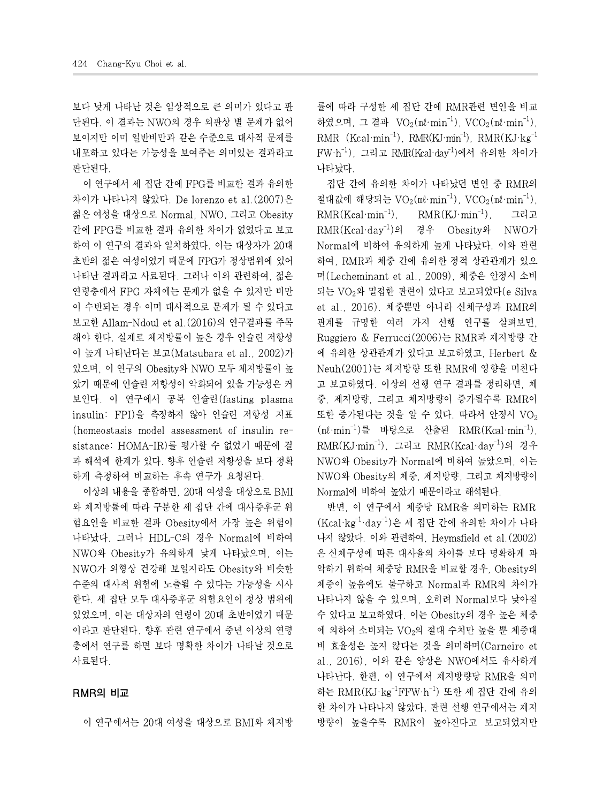보다 낮게 나타난 것은 임상적으로 큰 의미가 있다고 판 단된다. 이 결과는 NWO의 경우 외관상 별 문제가 없어 보이지만 이미 일반비만과 같은 수준으로 대사적 문제를 내포하고 있다는 가능성을 보여주는 의미있는 결과라고 판단된다.

이 연구에서 세 집단 간에 FPG를 비교한 결과 유의한 차이가 나타나지 않았다. De lorenzo et al.(2007)은 젊은 여성을 대상으로 Normal, NWO, 그리고 Obesity 간에 FPG를 비교한 결과 유의한 차이가 없었다고 보고 하여 이 연구의 결과와 일치하였다. 이는 대상자가 20대 초반의 젊은 여성이었기 때문에 FPG가 정상범위에 있어 나타난 결과라고 사료된다. 그러나 이와 관련하여, 젊은 연령층에서 FPG 자체에는 문제가 없을 수 있지만 비만 이 수반되는 경우 이미 대사적으로 문제가 될 수 있다고 보고한 Allam-Ndoul et al.(2016)의 연구결과를 주목 해야 한다. 실제로 체지방률이 높은 경우 인슐린 저항성 이 높게 나타난다는 보고(Matsubara etal., 2002)가 있으며, 이 연구의 Obesity와 NWO 모두 체지방률이 높 았기 때문에 인슐린 저항성이 악화되어 있을 가능성은 커 보인다. 이 연구에서 공복 인슐린(fasting plasma insulin: FPI)을 측정하지 않아 인슐린 저항성 지표 (homeostasis model assessment of insulin resistance: HOMA-IR)를 평가할 수 없었기 때문에 결 과 해석에 한계가 있다. 향후 인슐린 저항성을 보다 정확 하게 측정하여 비교하는 후속 연구가 요청된다.

이상의 내용을 종합하면, 20대 여성을 대상으로 BMI 와 체지방률에 따라 구분한 세 집단 간에 대사증후군 위 험요인을 비교한 결과 Obesity에서 가장 높은 위험이 나타났다. 그러나 HDL-C의 경우 Normal에 비하여 NWO와 Obesity가 유의하게 낮게 나타났으며, 이는 NWO가 외형상 건강해 보일지라도 Obesity와 비슷한 수준의 대사적 위험에 노출될 수 있다는 가능성을 시사 한다. 세 집단 모두 대사증후군 위험요인이 정상 범위에 있었으며, 이는 대상자의 연령이 20대 초반이었기 때문 이라고 판단된다. 향후 관련 연구에서 중년 이상의 연령 층에서 연구를 하면 보다 명확한 차이가 나타날 것으로 사료된다.

#### RMR의 비교

이 연구에서는 20대 여성을 대상으로 BMI와 체지방

률에 따라 구성한 세 집단 간에 RMR관련 변인을 비교 하였으며, 그 결과 VO $_2$ ( $\texttt{m}\ell\texttt{\cdot min}^{-1}$ ), <code>VCO $_2$ ( $\texttt{m}\ell\texttt{\cdot min}^{-1}$ ), </code>  $\mathrm{RMR}$  (Kcal·min<sup>-1</sup>),  $\mathrm{RMR}(\mathrm{KJ} \cdot \mathrm{min}^{-1})$ ,  $\mathrm{RMR}(\mathrm{KJ} \cdot \mathrm{kg}^{-1})$ FW·h<sup>-1</sup>), 그리고 RMR(Kcal·day<sup>-1</sup>)에서 유의한 차이가 나타났다.

집단 간에 유의한 차이가 나타났던 변인 중 RMR의 절대값에 해당되는 VO $_2$ ( $\texttt{m}\ell\texttt{\cdot min}^{-1}$ ), VCO $_2$ ( $\texttt{m}\ell\texttt{\cdot min}^{-1}$ ),  $RMR(Kcal·min^{-1})$ ,  $RMR(KJ·min^{-1})$ , 그리고 RMR(Kcal·day -1)의 경우 Obesity와 NWO가 Normal에 비하여 유의하게 높게 나타났다. 이와 관련 하여, RMR과 체중 간에 유의한 정적 상관관계가 있으 며(Lecheminant et al., 2009), 체중은 안정시 소비 되는 VO2와 밀접한 관련이 있다고 보고되었다(e Silva et al., 2016). 체중뿐만 아니라 신체구성과 RMR의 관계를 규명한 여러 가지 선행 연구를 살펴보면, Ruggiero & Ferrucci(2006)는 RMR과 제지방량 간 에 유의한 상관관계가 있다고 보고하였고, Herbert & Neuh(2001)는 체지방량 또한 RMR에 영향을 미친다 고 보고하였다. 이상의 선행 연구 결과를 정리하면, 체 중, 제지방량, 그리고 체지방량이 증가될수록 RMR이 또한 증가된다는 것을 알 수 있다. 따라서 안정시 VO<sub>2</sub> (㎖·min -1)를 바탕으로 산출된 RMR(Kcal·min -1), RMR(KJ·min -1), 그리고 RMR(Kcal·day -1)의 경우 NWO와 Obesity가 Normal에 비하여 높았으며, 이는 NWO와 Obesity의 체중, 제지방량, 그리고 체지방량이 Normal에 비하여 높았기 때문이라고 해석된다.

반면, 이 연구에서 체중당 RMR을 의미하는 RMR (Kcal·kg -1 ·day -1)은 세 집단 간에 유의한 차이가 나타 나지 않았다. 이와 관련하여, Heymsfield et al.(2002) 은 신체구성에 따른 대사율의 차이를 보다 명확하게 파 악하기 위하여 체중당 RMR을 비교할 경우, Obesity의 체중이 높음에도 불구하고 Normal과 RMR의 차이가 나타나지 않을 수 있으며, 오히려 Normal보다 낮아질 수 있다고 보고하였다. 이는 Obesity의 경우 높은 체중 에 의하여 소비되는 VO2의 절대 수치만 높을 뿐 체중대 비 효율성은 높지 않다는 것을 의미하며(Carneiro et al., 2016), 이와 같은 양상은 NWO에서도 유사하게 나타난다. 한편, 이 연구에서 제지방량당 RMR을 의미 하는 RMR(KJ·kg<sup>-1</sup>FFW·h<sup>-1</sup>) 또한 세 집단 간에 유의 한 차이가 나타나지 않았다. 관련 선행 연구에서는 제지 방량이 높을수록 RMR이 높아진다고 보고되었지만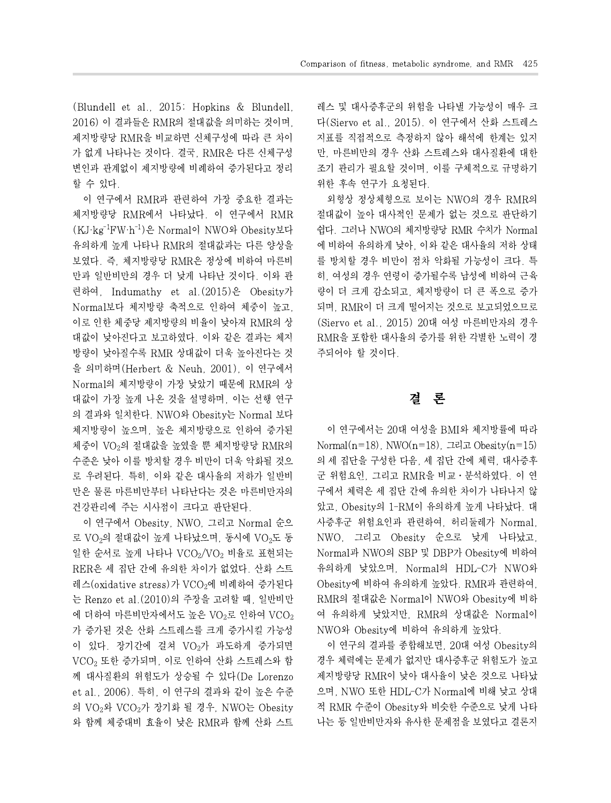(Blundell et al., 2015; Hopkins & Blundell, 2016) 이 결과들은 RMR의 절대값을 의미하는 것이며, 제지방량당 RMR을 비교하면 신체구성에 따라 큰 차이 가 없게 나타나는 것이다. 결국, RMR은 다른 신체구성 변인과 관계없이 제지방량에 비례하여 증가된다고 정리 할 수 있다.

이 연구에서 RMR과 관련하여 가장 중요한 결과는 체지방량당 RMR에서 나타났다. 이 연구에서 RMR (KJ·kg<sup>-1</sup>FW·h<sup>-1</sup>)은 Normal이 NWO와 Obesity보다 \_\_\_ 쉽다. 그러나 유의하게 높게 나타나 RMR의 절대값과는 다른 양상을 보였다. 즉, 체지방량당 RMR은 정상에 비하여 마른비 만과 일반비만의 경우 더 낮게 나타난 것이다. 이와 관 련하여, Indumathy et al.(2015)은 Obesity가 Normal보다 체지방량 축적으로 인하여 체중이 높고, 이로 인한 체중당 제지방량의 비율이 낮아져 RMR의 상 대값이 낮아진다고 보고하였다. 이와 같은 결과는 체지 방량이 낮아질수록 RMR 상대값이 더욱 높아진다는 것 을 의미하며(Herbert & Neuh, 2001), 이 연구에서 Normal의 체지방량이 가장 낮았기 때문에 RMR의 상 대값이 가장 높게 나온 것을 설명하며, 이는 선행 연구 의 결과와 일치한다. NWO와 Obesity는 Normal 보다 체지방량이 높으며, 높은 체지방량으로 인하여 증가된 체중이 VO2의 절대값을 높였을 뿐 체지방량당 RMR의 수준은 낮아 이를 방치할 경우 비만이 더욱 악화될 것으 로 우려된다. 특히, 이와 같은 대사율의 저하가 일반비 만은 물론 마른비만부터 나타난다는 것은 마른비만자의 건강관리에 주는 시사점이 크다고 판단된다.

이 연구에서 Obesity, NWO, 그리고 Normal 순으 로 VO<sub>2</sub>의 절대값이 높게 나타났으며, 동시에 VO<sub>2</sub>도 동 일한 순서로 높게 나타나 VCO2/VO<sup>2</sup> 비율로 표현되는 RER은 세 집단 간에 유의한 차이가 없었다. 산화 스트 레스(oxidative stress)가 VCO2에 비례하여 증가된다 는 Renzo et al.(2010)의 주장을 고려할 때, 일반비만 에 더하여 마른비만자에서도 높은 VO<sub>2</sub>로 인하여 VCO<sub>2</sub> 가 증가된 것은 산화 스트레스를 크게 증가시킬 가능성 이 있다. 장기간에 걸쳐 VO2가 과도하게 증가되면 VCO<sup>2</sup> 또한 증가되며, 이로 인하여 산화 스트레스와 함 께 대사질환의 위험도가 상승될 수 있다(De Lorenzo et al., 2006). 특히, 이 연구의 결과와 같이 높은 수준 의 VO2와 VCO2가 장기화 될 경우, NWO는 Obesity 와 함께 체중대비 효율이 낮은 RMR과 함께 산화 스트 레스 및 대사증후군의 위험을 나타낼 가능성이 매우 크 다(Siervo et al., 2015). 이 연구에서 산화 스트레스 지표를 직접적으로 측정하지 않아 해석에 한계는 있지 만, 마른비만의 경우 산화 스트레스와 대사질환에 대한 조기 관리가 필요할 것이며, 이를 구체적으로 규명하기 위한 후속 연구가 요청된다.

외형상 정상체형으로 보이는 NWO의 경우 RMR의 절대값이 높아 대사적인 문제가 없는 것으로 판단하기 쉽다. 그러나 NWO의 체지방량당 RMR 수치가 Normal 에 비하여 유의하게 낮아, 이와 같은 대사율의 저하 상태 를 방치할 경우 비만이 점차 악화될 가능성이 크다. 특 히, 여성의 경우 연령이 증가될수록 남성에 비하여 근육 량이 더 크게 감소되고, 체지방량이 더 큰 폭으로 증가 되며, RMR이 더 크게 떨어지는 것으로 보고되었으므로 (Siervo et al., 2015) 20대 여성 마른비만자의 경우 RMR을 포함한 대사율의 증가를 위한 각별한 노력이 경 주되어야 할 것이다.

## 결 론

이 연구에서는 20대 여성을 BMI와 체지방률에 따라  $Normal(n=18)$ ,  $NWO(n=18)$ , 그리고 Obesity $(n=15)$ 의 세 집단을 구성한 다음, 세 집단 간에 체력, 대사증후 군 위험요인, 그리고 RMR을 비교ㆍ분석하였다. 이 연 구에서 체력은 세 집단 간에 유의한 차이가 나타나지 않 았고, Obesity의 1-RM이 유의하게 높게 나타났다. 대 사증후군 위험요인과 관련하여, 허리둘레가 Normal, NWO, 그리고 Obesity 순으로 낮게 나타났고, Normal과 NWO의 SBP 및 DBP가 Obesity에 비하여 유의하게 낮았으며, Normal의 HDL-C가 NWO와 Obesity에 비하여 유의하게 높았다. RMR과 관련하여, RMR의 절대값은 Normal이 NWO와 Obesity에 비하 여 유의하게 낮았지만, RMR의 상대값은 Normal이 NWO와 Obesity에 비하여 유의하게 높았다.

이 연구의 결과를 종합해보면, 20대 여성 Obesity의 경우 체력에는 문제가 없지만 대사증후군 위험도가 높고 제지방량당 RMR이 낮아 대사율이 낮은 것으로 나타났 으며, NWO 또한 HDL-C가 Normal에 비해 낮고 상대 적 RMR 수준이 Obesity와 비슷한 수준으로 낮게 나타 나는 등 일반비만자와 유사한 문제점을 보였다고 결론지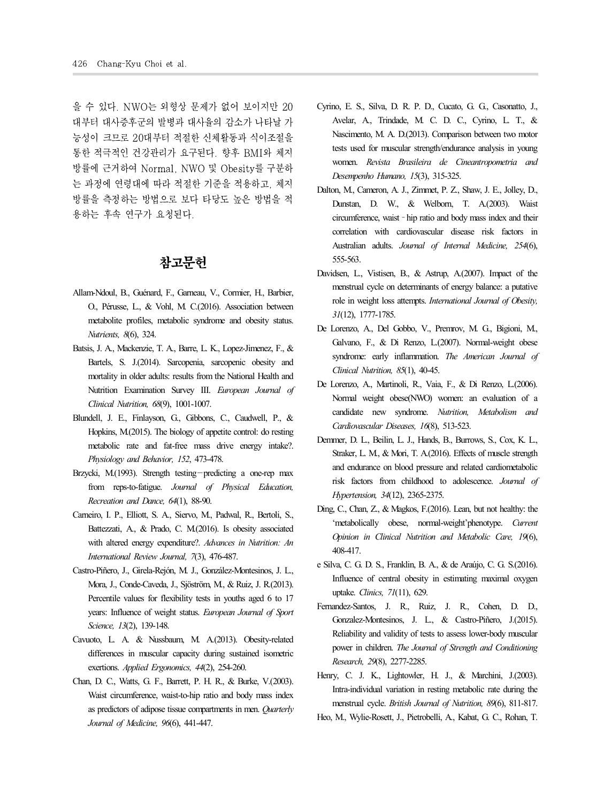을 수 있다. NWO는 외형상 문제가 없어 보이지만 20 대부터 대사증후군의 발병과 대사율의 감소가 나타날 가 능성이 크므로 20대부터 적절한 신체활동과 식이조절을 방률에 근거하여 Normal, NWO 및 Obesity를 구분하 는 과정에 연령대에 따라 적절한 기준을 적용하고, 체지 방률을 측정하는 방법으로 보다 타당도 높은 방법을 적 용하는 후속 연구가 요청된다.

## 참고문헌

- Allam-Ndoul, B., Guénard, F., Garneau, V., Cormier, H., Barbier, O., Pérusse, L., & Vohl, M. C.(2016). Association between metabolite profiles, metabolic syndrome and obesity status. *Nutrients, 8*(6), 324.
- Batsis, J. A., Mackenzie, T. A., Barre, L. K., Lopez-Jimenez, F., & Bartels, S. J.(2014). Sarcopenia, sarcopenic obesity and mortality in older adults: results from the National Health and Nutrition Examination Survey III. *European Journal of Clinical Nutrition, 68*(9), 1001-1007.
- Blundell, J. E., Finlayson, G., Gibbons, C., Caudwell, P., & Hopkins, M.(2015). The biology of appetite control: do resting metabolic rate and fat-free mass drive energy intake?. *Physiology and Behavior, 152*, 473-478.
- Brzycki, M.(1993). Strength testing—predicting a one-rep max from reps-to-fatigue. *Journal of Physical Education, Recreation and Dance, 64*(1), 88-90.
- Carneiro, I. P., Elliott, S. A., Siervo, M., Padwal, R., Bertoli, S., Battezzati, A., & Prado, C. M.(2016). Is obesity associated with altered energy expenditure?. *Advances in Nutrition: An International Review Journal, 7*(3), 476-487.
- Castro-Piñero, J., Girela-Rejón, M. J., González-Montesinos, J. L., Mora, J., Conde-Caveda, J., Sjöström, M., & Ruiz, J. R.(2013). Percentile values for flexibility tests in youths aged 6 to 17 years: Influence of weight status. *European Journal of Sport Science, 13*(2), 139-148.
- Cavuoto, L. A. & Nussbaum, M. A.(2013). Obesity-related differences in muscular capacity during sustained isometric exertions. *Applied Ergonomics, 44*(2), 254-260.
- Chan, D. C., Watts, G. F., Barrett, P. H. R., & Burke, V.(2003). Waist circumference, waist-to-hip ratio and body mass index as predictors of adipose tissue compartments in men. *Quarterly Journal of Medicine, 96*(6), 441-447.
- 통한 적극적인 건강관리가 요구된다. 향후 BMI와 체지 Cyrino, E. S., Silva, D. R. P. D., Cucato, G. G., Casonatto, J., Avelar, A., Trindade, M. C. D. C., Cyrino, L. T., & Nascimento, M. A. D.(2013). Comparison between two motor women. Revista Brasileira de Cineantropometria and *Desempenho Humano, 15*(3), 315-325.
	- Dalton, M., Cameron, A. J., Zimmet, P. Z., Shaw, J. E., Jolley, D., Dunstan, D. W., & Welborn, T. A.(2003). Waist circumference, waist–hip ratio and body mass index and their correlation with cardiovascular disease risk factors in Australian adults. *Journal of Internal Medicine, 254*(6), 555-563.
	- Davidsen, L., Vistisen, B., & Astrup, A.(2007). Impact of the menstrual cycle on determinants of energy balance: a putative role in weight loss attempts. *International Journal of Obesity, 31*(12), 1777-1785.
	- De Lorenzo, A., Del Gobbo, V., Premrov, M. G., Bigioni, M., Galvano, F., & Di Renzo, L.(2007). Normal-weight obese syndrome: early inflammation. *The American Journal of Clinical Nutrition, 85*(1), 40-45.
	- De Lorenzo, A., Martinoli, R., Vaia, F., & Di Renzo, L.(2006). Normal weight obese(NWO) women: an evaluation of a candidate new syndrome. *Nutrition, Metabolism and Cardiovascular Diseases, 16*(8), 513-523.
	- Demmer, D. L., Beilin, L. J., Hands, B., Burrows, S., Cox, K. L., Straker, L. M., & Mori, T. A.(2016). Effects of muscle strength and endurance on blood pressure and related cardiometabolic risk factors from childhood to adolescence. *Journal of Hypertension, 34*(12), 2365-2375.
	- Ding, C., Chan, Z., & Magkos, F.(2016). Lean, but not healthy: the 'metabolically obese, normal-weight'phenotype. *Current Opinion in Clinical Nutrition and Metabolic Care, 19*(6), 408-417.
	- e Silva, C. G. D. S., Franklin, B. A., & de Araújo, C. G. S.(2016). Influence of central obesity in estimating maximal oxygen uptake. *Clinics, 71*(11), 629.
	- Fernandez-Santos, J. R., Ruiz, J. R., Cohen, D. D., Gonzalez-Montesinos, J. L., & Castro-Piñero, J.(2015). Reliability and validity of tests to assess lower-body muscular power in children. *The Journal of Strength and Conditioning Research, 29*(8), 2277-2285.
	- Henry, C. J. K., Lightowler, H. J., & Marchini, J.(2003). Intra-individual variation in resting metabolic rate during the menstrual cycle. *British Journal of Nutrition, 89*(6), 811-817.
	- Heo, M., Wylie-Rosett, J., Pietrobelli, A., Kabat, G. C., Rohan, T.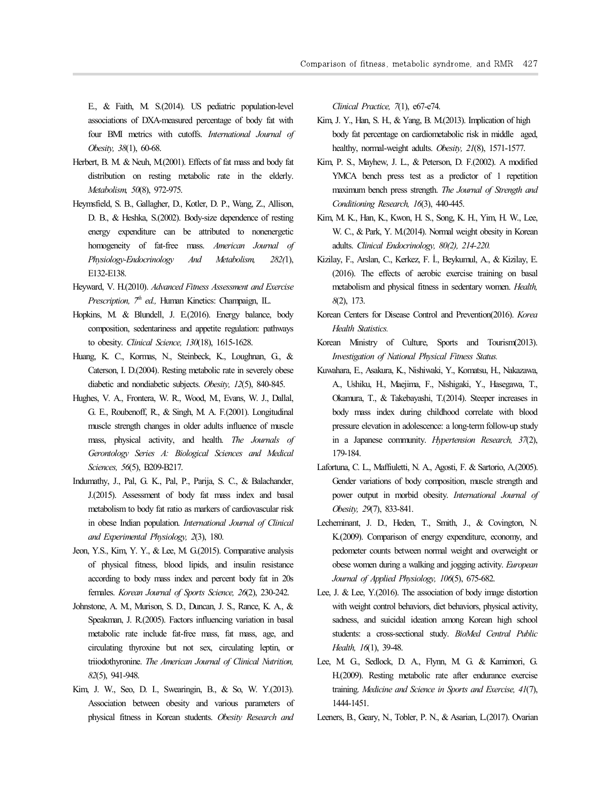E., & Faith, M. S.(2014). US pediatric population-level associations of DXA-measured percentage of body fat with four BMI metrics with cutoffs. *International Journal of Obesity, 38*(1), 60-68.

- Herbert, B. M. & Neuh, M.(2001). Effects of fat mass and body fat distribution on resting metabolic rate in the elderly. *Metabolism, 50*(8), 972-975.
- Heymsfield, S. B., Gallagher, D., Kotler, D. P., Wang, Z., Allison, D. B., & Heshka, S.(2002). Body-size dependence of resting energy expenditure can be attributed to nonenergetic homogeneity of fat-free mass. *American Journal of Physiology-Endocrinology And Metabolism, 282(*1), E132-E138.
- Heyward, V. H.(2010). *Advanced Fitness Assessment and Exercise Prescription, 7 th ed.,* Human Kinetics: Champaign, IL.
- Hopkins, M. & Blundell, J. E.(2016). Energy balance, body composition, sedentariness and appetite regulation: pathways to obesity. *Clinical Science, 130*(18), 1615-1628.
- Huang, K. C., Kormas, N., Steinbeck, K., Loughnan, G., & Caterson, I. D.(2004). Resting metabolic rate in severely obese diabetic and nondiabetic subjects. *Obesity, 12*(5), 840-845.
- Hughes, V. A., Frontera, W. R., Wood, M., Evans, W. J., Dallal, G. E., Roubenoff, R., & Singh, M. A. F.(2001). Longitudinal muscle strength changes in older adults influence of muscle mass, physical activity, and health. *The Journals of Gerontology Series A: Biological Sciences and Medical Sciences, 56*(5), B209-B217.
- Indumathy, J., Pal, G. K., Pal, P., Parija, S. C., & Balachander, J.(2015). Assessment of body fat mass index and basal metabolism to body fat ratio as markers of cardiovascular risk in obese Indian population. *International Journal of Clinical and Experimental Physiology, 2*(3), 180.
- Jeon, Y.S., Kim, Y. Y., & Lee, M. G.(2015). Comparative analysis of physical fitness, blood lipids, and insulin resistance according to body mass index and percent body fat in 20s females. *Korean Journal of Sports Science, 26*(2), 230-242.
- Johnstone, A. M., Murison, S. D., Duncan, J. S., Rance, K. A., & Speakman, J. R.(2005). Factors influencing variation in basal metabolic rate include fat-free mass, fat mass, age, and circulating thyroxine but not sex, circulating leptin, or triiodothyronine. *The American Journal of Clinical Nutrition, 82*(5), 941-948.
- Kim, J. W., Seo, D. I., Swearingin, B., & So, W. Y.(2013). Association between obesity and various parameters of physical fitness in Korean students. *Obesity Research and*

*Clinical Practice, 7*(1), e67-e74.

- Kim, J. Y., Han, S. H., & Yang, B. M.(2013). Implication of high body fat percentage on cardiometabolic risk in middle aged, healthy, normal-weight adults. *Obesity, 21*(8), 1571-1577.
- Kim, P. S., Mayhew, J. L., & Peterson, D. F.(2002). A modified YMCA bench press test as a predictor of 1 repetition maximum bench press strength. *The Journal of Strength and Conditioning Research, 16*(3), 440-445.
- Kim, M. K., Han, K., Kwon, H. S., Song, K. H., Yim, H. W., Lee, W. C., & Park, Y. M.(2014). Normal weight obesity in Korean adults. *Clinical Endocrinology, 80(2), 214-220.*
- Kizilay, F., Arslan, C., Kerkez, F. İ., Beykumul, A., & Kizilay, E. (2016). The effects of aerobic exercise training on basal metabolism and physical fitness in sedentary women. *Health, 8*(2), 173.
- Korean Centers for Disease Control and Prevention(2016). *Korea Health Statistics.*
- Korean Ministry of Culture, Sports and Tourism(2013). *Investigation of National Physical Fitness Status.*
- Kuwahara, E., Asakura, K., Nishiwaki, Y., Komatsu, H., Nakazawa, A., Ushiku, H., Maejima, F., Nishigaki, Y., Hasegawa, T., Okamura, T., & Takebayashi, T.(2014). Steeper increases in body mass index during childhood correlate with blood pressure elevation in adolescence: a long-term follow-up study in a Japanese community. *Hypertension Research, 37*(2), 179-184.
- Lafortuna, C. L., Maffiuletti, N. A., Agosti, F. & Sartorio, A.(2005). Gender variations of body composition, muscle strength and power output in morbid obesity. *International Journal of Obesity, 29*(7), 833-841.
- Lecheminant, J. D., Heden, T., Smith, J., & Covington, N. K.(2009). Comparison of energy expenditure, economy, and pedometer counts between normal weight and overweight or obese women during a walking and jogging activity. *European Journal of Applied Physiology, 106*(5), 675-682.
- Lee, J. & Lee, Y.(2016). The association of body image distortion with weight control behaviors, diet behaviors, physical activity, sadness, and suicidal ideation among Korean high school students: a cross-sectional study. *BioMed Central Public Health, 16*(1), 39-48.
- Lee, M. G., Sedlock, D. A., Flynn, M. G. & Kamimori, G. H.(2009). Resting metabolic rate after endurance exercise training. *Medicine and Science in Sports and Exercise, 41*(7), 1444-1451.
- Leeners, B., Geary, N., Tobler, P. N., & Asarian, L.(2017). Ovarian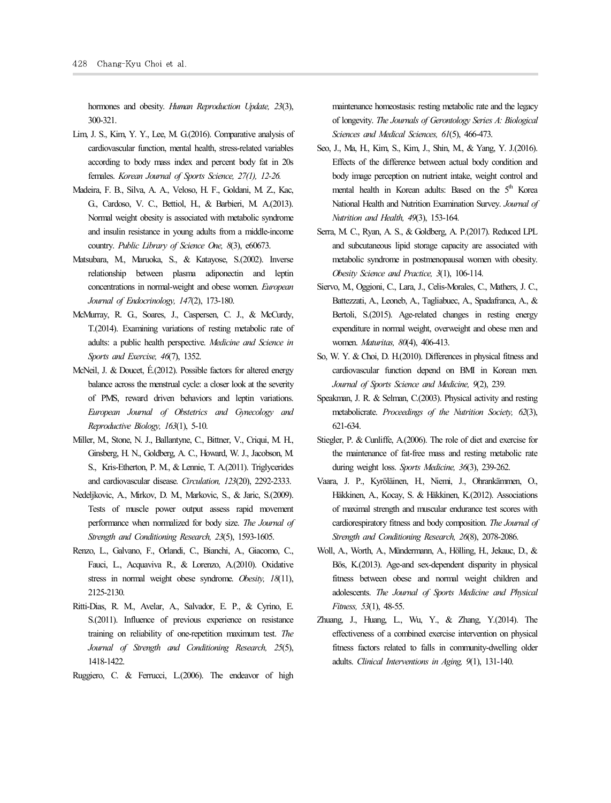hormones and obesity. *Human Reproduction Update, 23*(3), 300-321.

- Lim, J. S., Kim, Y. Y., Lee, M. G.(2016). Comparative analysis of cardiovascular function, mental health, stress-related variables according to body mass index and percent body fat in 20s females. *Korean Journal of Sports Science, 27(1), 12-26.*
- Madeira, F. B., Silva, A. A., Veloso, H. F., Goldani, M. Z., Kac, G., Cardoso, V. C., Bettiol, H., & Barbieri, M. A.(2013). Normal weight obesity is associated with metabolic syndrome and insulin resistance in young adults from a middle-income country. *Public Library of Science One, 8*(3), e60673.
- Matsubara, M., Maruoka, S., & Katayose, S.(2002). Inverse relationship between plasma adiponectin and leptin concentrations in normal-weight and obese women. *European Journal of Endocrinology, 147*(2), 173-180.
- McMurray, R. G., Soares, J., Caspersen, C. J., & McCurdy, T.(2014). Examining variations of resting metabolic rate of adults: a public health perspective. *Medicine and Science in Sports and Exercise, 46*(7), 1352.
- McNeil, J. & Doucet, É.(2012). Possible factors for altered energy balance across the menstrual cycle: a closer look at the severity of PMS, reward driven behaviors and leptin variations. *European Journal of Obstetrics and Gynecology and Reproductive Biology, 163*(1), 5-10.
- Miller, M., Stone, N. J., Ballantyne, C., Bittner, V., Criqui, M. H., Ginsberg, H. N., Goldberg, A. C., Howard, W. J., Jacobson, M. S., Kris-Etherton, P. M., & Lennie, T. A.(2011). Triglycerides and cardiovascular disease. *Circulation, 123*(20), 2292-2333.
- Nedeljkovic, A., Mirkov, D. M., Markovic, S., & Jaric, S.(2009). Tests of muscle power output assess rapid movement performance when normalized for body size. *The Journal of Strength and Conditioning Research, 23*(5), 1593-1605.
- Renzo, L., Galvano, F., Orlandi, C., Bianchi, A., Giacomo, C., Fauci, L., Acquaviva R., & Lorenzo, A.(2010). Oxidative stress in normal weight obese syndrome. *Obesity, 18*(11), 2125-2130.
- Ritti-Dias, R. M., Avelar, A., Salvador, E. P., & Cyrino, E. S.(2011). Influence of previous experience on resistance training on reliability of one-repetition maximum test. *The Journal of Strength and Conditioning Research, 25*(5), 1418-1422.
- Ruggiero, C. & Ferrucci, L.(2006). The endeavor of high

maintenance homeostasis: resting metabolic rate and the legacy of longevity. *The Journals of Gerontology Series A: Biological Sciences and Medical Sciences, 61*(5), 466-473.

- Seo, J., Ma, H., Kim, S., Kim, J., Shin, M., & Yang, Y. J.(2016). Effects of the difference between actual body condition and body image perception on nutrient intake, weight control and mental health in Korean adults: Based on the 5<sup>th</sup> Korea National Health and Nutrition Examination Survey. *Journal of Nutrition and Health, 49*(3), 153-164.
- Serra, M. C., Ryan, A. S., & Goldberg, A. P.(2017). Reduced LPL and subcutaneous lipid storage capacity are associated with metabolic syndrome in postmenopausal women with obesity. *Obesity Science and Practice, 3*(1), 106-114.
- Siervo, M., Oggioni, C., Lara, J., Celis-Morales, C., Mathers, J. C., Battezzati, A., Leoneb, A., Tagliabuec, A., Spadafranca, A., & Bertoli, S.(2015). Age-related changes in resting energy expenditure in normal weight, overweight and obese men and women. *Maturitas, 80*(4), 406-413.
- So, W. Y. & Choi, D. H.(2010). Differences in physical fitness and cardiovascular function depend on BMI in Korean men. *Journal of Sports Science and Medicine, 9*(2), 239.
- Speakman, J. R. & Selman, C.(2003). Physical activity and resting metabolicrate. *Proceedings of the Nutrition Society, 62*(3), 621-634.
- Stiegler, P. & Cunliffe, A.(2006). The role of diet and exercise for the maintenance of fat-free mass and resting metabolic rate during weight loss. *Sports Medicine, 36*(3), 239-262.
- Vaara, J. P., Kyröläinen, H., Niemi, J., Ohrankämmen, O., Häkkinen, A., Kocay, S. & Häkkinen, K.(2012). Associations of maximal strength and muscular endurance test scores with cardiorespiratory fitness and body composition. *The Journal of Strength and Conditioning Research, 26*(8), 2078-2086.
- Woll, A., Worth, A., Mündermann, A., Hölling, H., Jekauc, D., & Bös, K.(2013). Age-and sex-dependent disparity in physical fitness between obese and normal weight children and adolescents. *The Journal of Sports Medicine and Physical Fitness, 53*(1), 48-55.
- Zhuang, J., Huang, L., Wu, Y., & Zhang, Y.(2014). The effectiveness of a combined exercise intervention on physical fitness factors related to falls in community-dwelling older adults. *Clinical Interventions in Aging, 9*(1), 131-140.